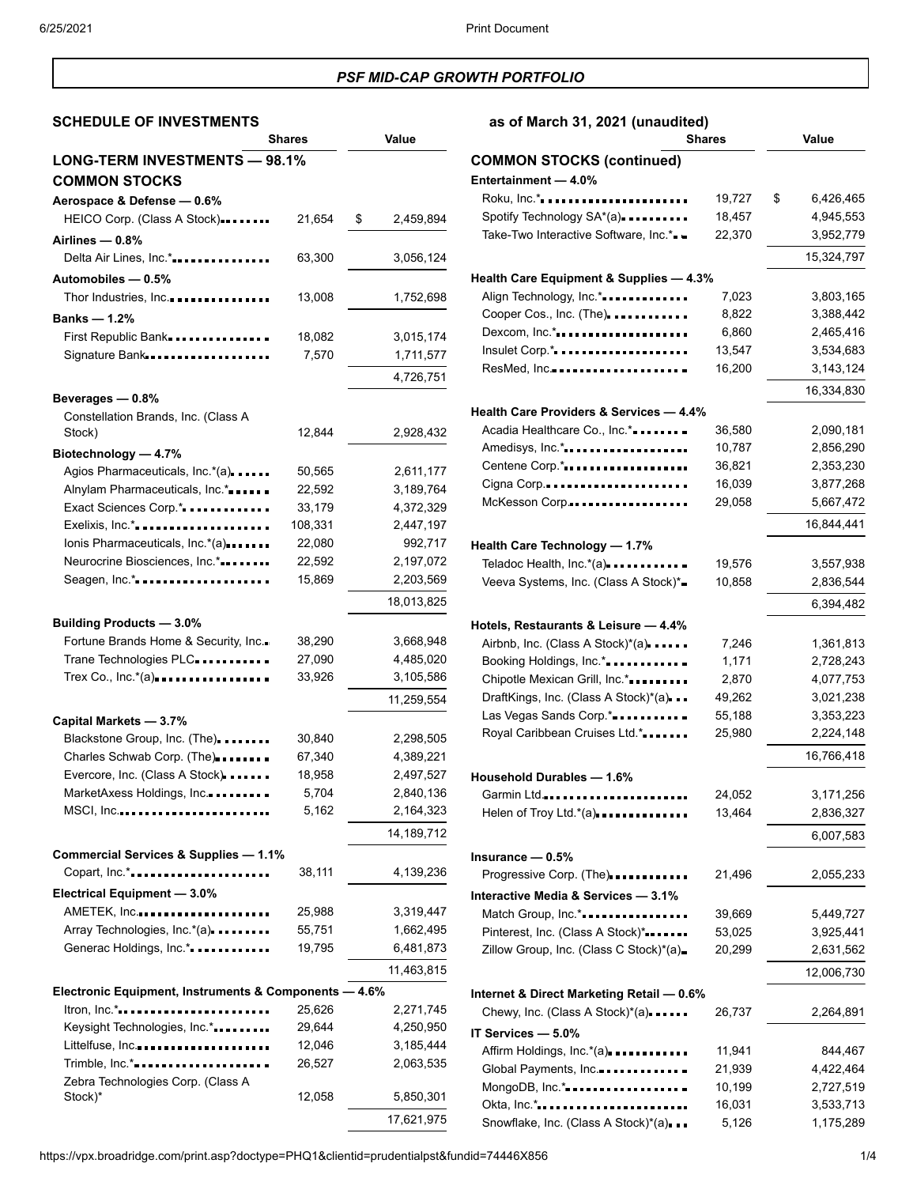# *PSF MID-CAP GROWTH PORTFOLIO*

# **SCHEDULE OF INVESTMENTS as of March 31, 2021 (unaudited)**

|                                                       | Shares  | Value           |
|-------------------------------------------------------|---------|-----------------|
| LONG-TERM INVESTMENTS - 98.1%                         |         |                 |
| <b>COMMON STOCKS</b>                                  |         |                 |
| Aerospace & Defense - 0.6%                            |         |                 |
| HEICO Corp. (Class A Stock)                           | 21,654  | \$<br>2,459,894 |
| Airlines - 0.8%                                       |         |                 |
| Delta Air Lines, Inc.*                                | 63,300  | 3,056,124       |
|                                                       |         |                 |
| Automobiles - 0.5%<br>Thor Industries, Inc            |         |                 |
|                                                       | 13,008  | 1,752,698       |
| <b>Banks — 1.2%</b>                                   |         |                 |
| First Republic Bank                                   | 18,082  | 3,015,174       |
| Signature Bank                                        | 7,570   | 1,711,577       |
|                                                       |         | 4,726,751       |
| Beverages - 0.8%                                      |         |                 |
| Constellation Brands, Inc. (Class A                   |         |                 |
| Stock)                                                | 12,844  | 2,928,432       |
| Biotechnology - 4.7%                                  |         |                 |
| Agios Pharmaceuticals, Inc.*(a)                       | 50,565  | 2,611,177       |
| Alnylam Pharmaceuticals, Inc.*                        | 22,592  | 3,189,764       |
| Exact Sciences Corp.*                                 | 33,179  | 4,372,329       |
| Exelixis, Inc.*.                                      | 108,331 | 2,447,197       |
| lonis Pharmaceuticals, Inc.*(a)                       | 22,080  | 992,717         |
| Neurocrine Biosciences, Inc.*                         | 22,592  | 2,197,072       |
| Seagen, Inc.*                                         | 15,869  | 2,203,569       |
|                                                       |         | 18,013,825      |
| <b>Building Products - 3.0%</b>                       |         |                 |
| Fortune Brands Home & Security, Inc.                  | 38,290  | 3,668,948       |
| Trane Technologies PLC                                | 27,090  | 4,485,020       |
| Trex Co., Inc.*(a)                                    | 33,926  | 3,105,586       |
|                                                       |         | 11,259,554      |
| Capital Markets - 3.7%                                |         |                 |
| Blackstone Group, Inc. (The)                          | 30,840  | 2,298,505       |
| Charles Schwab Corp. (The)                            | 67,340  | 4,389,221       |
| Evercore, Inc. (Class A Stock)                        | 18,958  | 2,497,527       |
| MarketAxess Holdings, Inc.                            | 5,704   | 2,840,136       |
| $MSCI, Inc.$                                          | 5,162   | 2,164,323       |
|                                                       |         |                 |
|                                                       |         | 14,189,712      |
| Commercial Services & Supplies - 1.1%                 |         |                 |
| Copart, Inc.*                                         | 38,111  | 4,139,236       |
| Electrical Equipment - 3.0%                           |         |                 |
| AMETEK, Inc                                           | 25,988  | 3,319,447       |
| Array Technologies, Inc.*(a)                          | 55,751  | 1,662,495       |
| Generac Holdings, Inc.*                               | 19,795  | 6,481,873       |
|                                                       |         | 11,463,815      |
| Electronic Equipment, Instruments & Components - 4.6% |         |                 |
| Itron, Inc.*                                          | 25,626  | 2,271,745       |
| Keysight Technologies, Inc.*                          | 29,644  | 4,250,950       |
| Littelfuse, Inc                                       | 12,046  | 3,185,444       |
| Trimble, Inc.*                                        | 26,527  | 2,063,535       |
| Zebra Technologies Corp. (Class A                     |         |                 |
| Stock)*                                               | 12,058  | 5,850,301       |
|                                                       |         | 17,621,975      |

| $\frac{1}{2}$<br><b>Shares</b>                     |        | Value           |  |
|----------------------------------------------------|--------|-----------------|--|
| <b>COMMON STOCKS (continued)</b>                   |        |                 |  |
| Entertainment - 4.0%                               |        |                 |  |
| Roku, Inc.*                                        | 19,727 | 6,426,465<br>\$ |  |
| Spotify Technology SA*(a)                          | 18,457 | 4,945,553       |  |
| Take-Two Interactive Software, Inc.*.              | 22,370 | 3,952,779       |  |
|                                                    |        | 15,324,797      |  |
| Health Care Equipment & Supplies - 4.3%            |        |                 |  |
| Align Technology, Inc.*                            | 7,023  | 3,803,165       |  |
| Cooper Cos., Inc. (The).                           | 8,822  | 3,388,442       |  |
| Dexcom, Inc.*                                      | 6,860  | 2,465,416       |  |
| Insulet Corp.*                                     | 13,547 | 3,534,683       |  |
| ResMed, Inc                                        | 16,200 | 3,143,124       |  |
|                                                    |        | 16,334,830      |  |
| Health Care Providers & Services - 4.4%            |        |                 |  |
| Acadia Healthcare Co., Inc.*                       | 36,580 | 2,090,181       |  |
| Amedisys, Inc.*                                    | 10,787 | 2,856,290       |  |
| Centene Corp.*                                     | 36,821 | 2,353,230       |  |
| Cigna Corp                                         | 16,039 | 3,877,268       |  |
| McKesson Corp                                      | 29,058 | 5,667,472       |  |
|                                                    |        | 16,844,441      |  |
| Health Care Technology - 1.7%                      |        |                 |  |
| Teladoc Health, Inc.*(a)                           | 19,576 | 3,557,938       |  |
| Veeva Systems, Inc. (Class A Stock)*               | 10,858 | 2,836,544       |  |
|                                                    |        | 6,394,482       |  |
| Hotels, Restaurants & Leisure - 4.4%               |        |                 |  |
| Airbnb, Inc. (Class A Stock)*(a)                   | 7,246  | 1,361,813       |  |
| Booking Holdings, Inc.*                            | 1,171  | 2,728,243       |  |
| Chipotle Mexican Grill, Inc.*                      | 2,870  | 4,077,753       |  |
| DraftKings, Inc. (Class A Stock)*(a)               | 49,262 | 3,021,238       |  |
| Las Vegas Sands Corp.*                             | 55,188 | 3,353,223       |  |
| Royal Caribbean Cruises Ltd.*                      | 25,980 | 2,224,148       |  |
|                                                    |        | 16,766,418      |  |
| Household Durables - 1.6%                          |        |                 |  |
| Garmin Ltd .                                       | 24,052 | 3,171,256       |  |
| Helen of Troy Ltd.*(a)                             | 13,464 | 2,836,327       |  |
|                                                    |        | 6,007,583       |  |
| Insurance $-0.5%$                                  |        |                 |  |
| Progressive Corp. (The)                            | 21,496 | 2,055,233       |  |
| Interactive Media & Services - 3.1%                |        |                 |  |
| Match Group, Inc.*                                 | 39,669 | 5,449,727       |  |
| Pinterest, Inc. (Class A Stock)*                   | 53,025 | 3,925,441       |  |
| Zillow Group, Inc. (Class C Stock)*(a)=            | 20,299 | 2,631,562       |  |
|                                                    |        | 12,006,730      |  |
| Internet & Direct Marketing Retail - 0.6%          |        |                 |  |
| Chewy, Inc. (Class A Stock)*(a)                    | 26,737 | 2,264,891       |  |
| IT Services - 5.0%                                 |        |                 |  |
| Affirm Holdings, Inc.*(a)                          | 11,941 | 844,467         |  |
| Global Payments, Inc.                              | 21,939 | 4,422,464       |  |
| MongoDB, Inc.*                                     | 10,199 | 2,727,519       |  |
| Okta, Inc.*<br>Snowflake, Inc. (Class A Stock)*(a) | 16,031 | 3,533,713       |  |
|                                                    | 5,126  | 1,175,289       |  |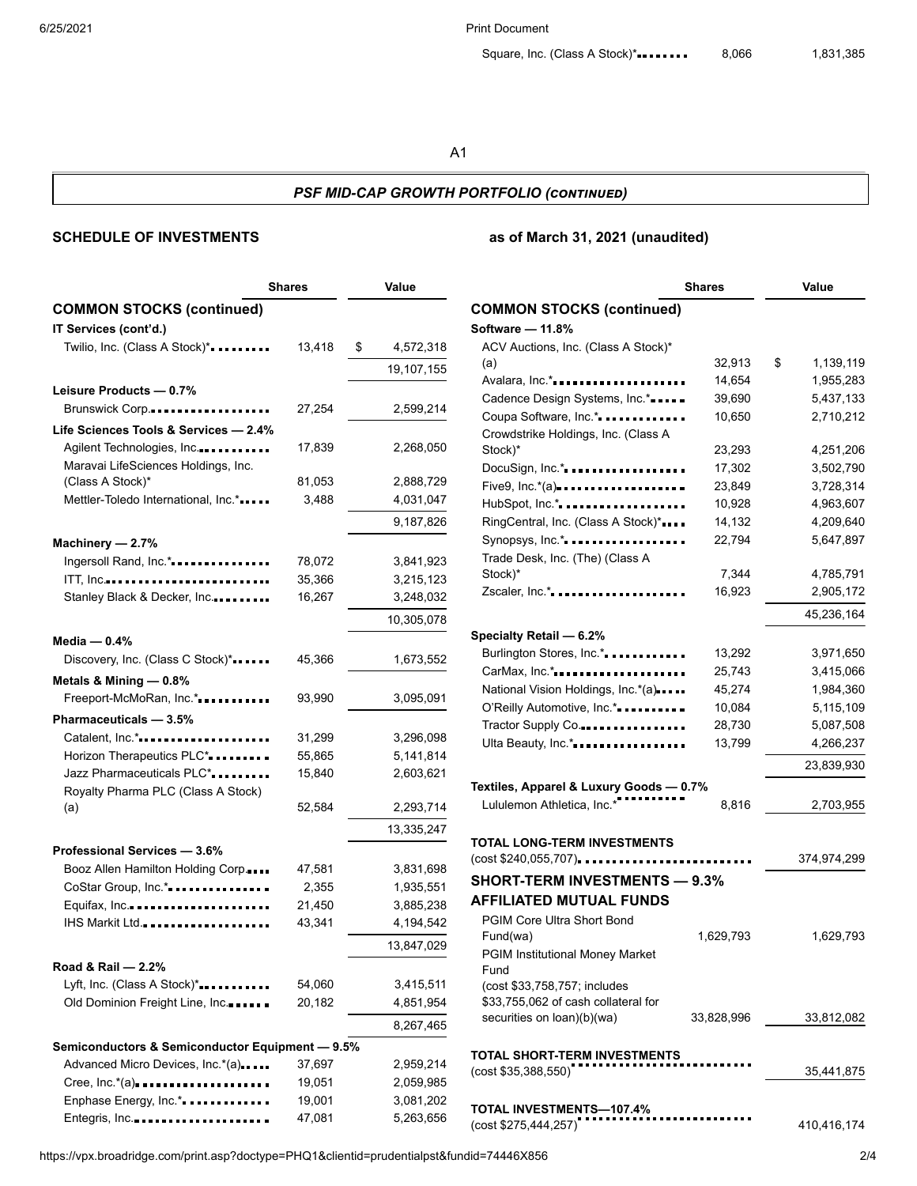6/25/2021 Print Document

## *PSF MID-CAP GROWTH PORTFOLIO (continued)*

## **SCHEDULE OF INVESTMENTS as of March 31, 2021 (unaudited)**

|                                                 | <b>Shares</b> | Value           |
|-------------------------------------------------|---------------|-----------------|
| <b>COMMON STOCKS (continued)</b>                |               |                 |
| IT Services (cont'd.)                           |               |                 |
| Twilio, Inc. (Class A Stock)*                   | 13,418        | \$<br>4,572,318 |
|                                                 |               | 19,107,155      |
| Leisure Products - 0.7%                         |               |                 |
| Brunswick Corp                                  | 27,254        | 2,599,214       |
| Life Sciences Tools & Services - 2.4%           |               |                 |
| Agilent Technologies, Inc                       | 17,839        | 2,268,050       |
| Maravai LifeSciences Holdings, Inc.             |               |                 |
| (Class A Stock)*                                | 81,053        | 2,888,729       |
| Mettler-Toledo International, Inc.*             | 3,488         | 4,031,047       |
|                                                 |               | 9,187,826       |
| Machinery - 2.7%                                |               |                 |
| Ingersoll Rand, Inc.*                           | 78,072        | 3,841,923       |
| ITT, Inc                                        | 35,366        | 3,215,123       |
| Stanley Black & Decker, Inc.                    | 16,267        | 3,248,032       |
|                                                 |               | 10,305,078      |
| Media $-0.4%$                                   |               |                 |
| Discovery, Inc. (Class C Stock)*                | 45,366        | 1,673,552       |
| Metals & Mining - 0.8%                          |               |                 |
| Freeport-McMoRan, Inc.*                         | 93,990        | 3,095,091       |
| Pharmaceuticals - 3.5%                          |               |                 |
| Catalent, Inc.*                                 | 31,299        | 3,296,098       |
| Horizon Therapeutics PLC*                       | 55,865        | 5,141,814       |
| Jazz Pharmaceuticals PLC*                       | 15,840        | 2,603,621       |
| Royalty Pharma PLC (Class A Stock)              |               |                 |
| (a)                                             | 52,584        | 2,293,714       |
|                                                 |               | 13,335,247      |
| Professional Services - 3.6%                    |               |                 |
| Booz Allen Hamilton Holding Corp.               | 47,581        | 3,831,698       |
| CoStar Group, Inc.*                             | 2,355         | 1,935,551       |
| Equifax, Inc.                                   | 21,450        | 3,885,238       |
| IHS Markit Ltd                                  | 43,341        | 4,194,542       |
|                                                 |               | 13,847,029      |
| Road & Rail — 2.2%                              |               |                 |
| Lyft, Inc. (Class A Stock)*                     | 54,060        | 3,415,511       |
| Old Dominion Freight Line, Inc                  | 20,182        | 4,851,954       |
|                                                 |               | 8,267,465       |
| Semiconductors & Semiconductor Equipment - 9.5% |               |                 |
| Advanced Micro Devices, Inc.*(a)                | 37,697        | 2,959,214       |
| Cree, $Inc.*(a)$                                | 19,051        | 2,059,985       |
| Enphase Energy, Inc.*.                          | 19,001        | 3,081,202       |
| Entegris, Inc                                   | 47,081        | 5,263,656       |

|                                                                     | <b>Shares</b> |    | Value       |  |
|---------------------------------------------------------------------|---------------|----|-------------|--|
| <b>COMMON STOCKS (continued)</b>                                    |               |    |             |  |
| Software - 11.8%                                                    |               |    |             |  |
| ACV Auctions, Inc. (Class A Stock)*                                 |               |    |             |  |
| (a)                                                                 | 32,913        | \$ | 1,139,119   |  |
| Avalara, Inc.*                                                      | 14,654        |    | 1,955,283   |  |
| Cadence Design Systems, Inc.*                                       | 39,690        |    | 5,437,133   |  |
| Coupa Software, Inc.*                                               | 10,650        |    | 2,710,212   |  |
| Crowdstrike Holdings, Inc. (Class A                                 |               |    |             |  |
| Stock)*                                                             | 23,293        |    | 4,251,206   |  |
| DocuSign, Inc.*                                                     | 17,302        |    | 3,502,790   |  |
| Five9, Inc.*(a)--------------------                                 | 23,849        |    | 3,728,314   |  |
| HubSpot, Inc.*                                                      | 10,928        |    | 4,963,607   |  |
| RingCentral, Inc. (Class A Stock)*                                  | 14,132        |    | 4,209,640   |  |
| Synopsys, Inc.*                                                     | 22,794        |    | 5,647,897   |  |
| Trade Desk, Inc. (The) (Class A                                     |               |    |             |  |
| Stock)*                                                             | 7,344         |    | 4,785,791   |  |
| Zscaler, Inc.*                                                      | 16,923        |    | 2,905,172   |  |
|                                                                     |               |    | 45,236,164  |  |
| Specialty Retail — 6.2%                                             |               |    |             |  |
| Burlington Stores, Inc.*.                                           | 13,292        |    | 3,971,650   |  |
| CarMax, Inc.*                                                       | 25,743        |    | 3,415,066   |  |
| National Vision Holdings, Inc.*(a)                                  | 45,274        |    | 1,984,360   |  |
| O'Reilly Automotive, Inc.*                                          | 10,084        |    | 5,115,109   |  |
| Tractor Supply Co                                                   | 28,730        |    | 5,087,508   |  |
| Ulta Beauty, Inc.*                                                  | 13,799        |    | 4,266,237   |  |
|                                                                     |               |    |             |  |
|                                                                     |               |    | 23,839,930  |  |
| Textiles, Apparel & Luxury Goods - 0.7%                             |               |    |             |  |
| Lululemon Athletica, Inc.*                                          | 8,816         |    | 2,703,955   |  |
|                                                                     |               |    |             |  |
| TOTAL LONG-TERM INVESTMENTS                                         |               |    |             |  |
| (cost \$240,055,707).                                               |               |    | 374,974,299 |  |
| <b>SHORT-TERM INVESTMENTS — 9.3%</b>                                |               |    |             |  |
| <b>AFFILIATED MUTUAL FUNDS</b>                                      |               |    |             |  |
| <b>PGIM Core Ultra Short Bond</b>                                   |               |    |             |  |
| Fund(wa)                                                            | 1,629,793     |    | 1,629,793   |  |
| <b>PGIM Institutional Money Market</b>                              |               |    |             |  |
| Fund                                                                |               |    |             |  |
| (cost \$33,758,757; includes<br>\$33,755,062 of cash collateral for |               |    |             |  |
| securities on loan)(b)(wa)                                          | 33,828,996    |    | 33,812,082  |  |
|                                                                     |               |    |             |  |
| TOTAL SHORT-TERM INVESTMENTS                                        |               |    |             |  |
| (cost \$35,388,550)                                                 |               |    | 35,441,875  |  |
|                                                                     |               |    |             |  |
| TOTAL INVESTMENTS-107.4%                                            |               |    |             |  |
| (cost \$275,444,257)                                                |               |    | 410,416,174 |  |

https://vpx.broadridge.com/print.asp?doctype=PHQ1&clientid=prudentialpst&fundid=74446X856 2/4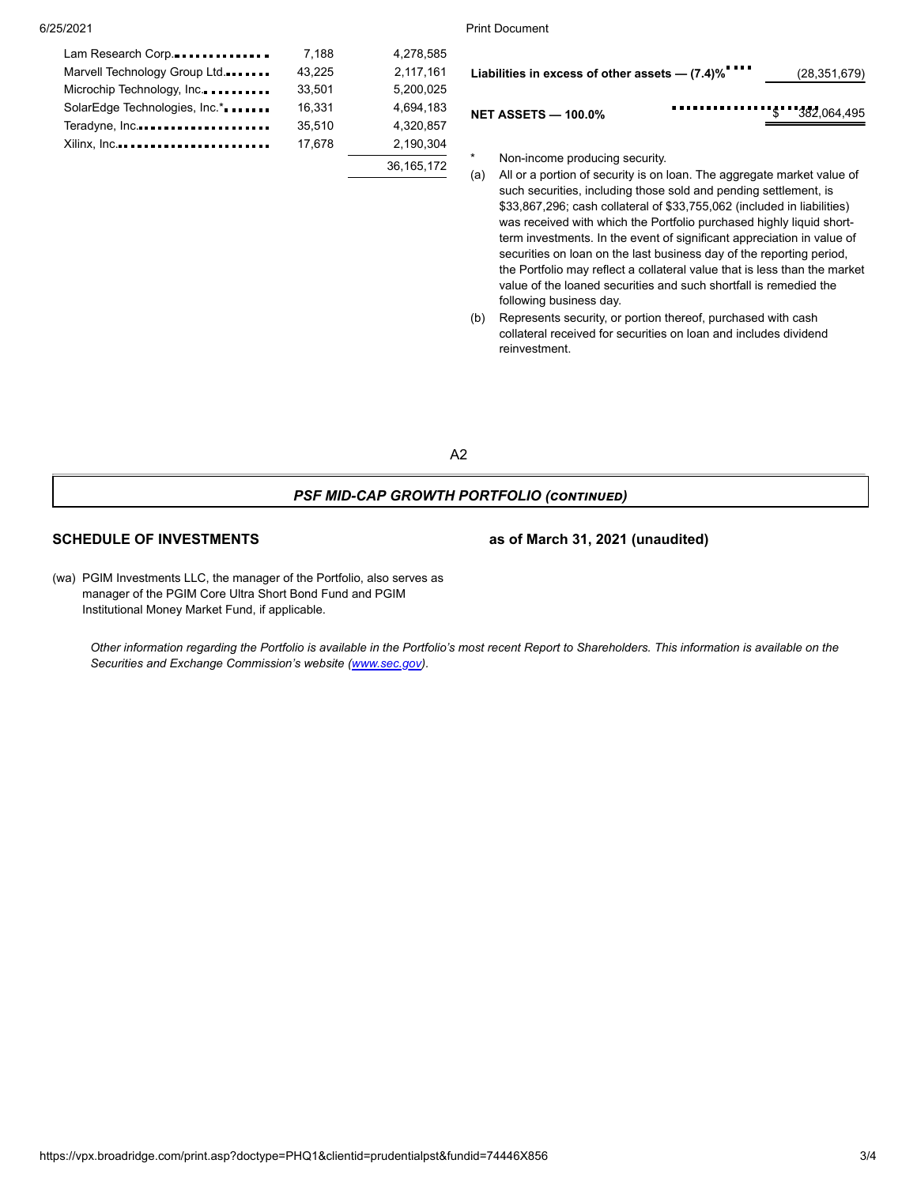| Lam Research Corp              | 7.188  | 4.278.585  |
|--------------------------------|--------|------------|
| Marvell Technology Group Ltd.  | 43,225 | 2,117,161  |
| Microchip Technology, Inc.     | 33.501 | 5,200,025  |
| SolarEdge Technologies, Inc.*. | 16.331 | 4.694.183  |
| Teradyne, Inc                  | 35,510 | 4,320,857  |
| Xilinx, Inc                    | 17.678 | 2.190.304  |
|                                |        | 36.165.172 |

6/25/2021 Print Document

| Liabilities in excess of other assets - (7.4)% |  | (28, 351, 679) |
|------------------------------------------------|--|----------------|
| <b>NET ASSETS - 100.0%</b>                     |  |                |

Non-income producing security.

- (a) All or a portion of security is on loan. The aggregate market value of such securities, including those sold and pending settlement, is \$33,867,296; cash collateral of \$33,755,062 (included in liabilities) was received with which the Portfolio purchased highly liquid shortterm investments. In the event of significant appreciation in value of securities on loan on the last business day of the reporting period, the Portfolio may reflect a collateral value that is less than the market value of the loaned securities and such shortfall is remedied the following business day.
- (b) Represents security, or portion thereof, purchased with cash collateral received for securities on loan and includes dividend reinvestment.

A2

### *PSF MID-CAP GROWTH PORTFOLIO (continued)*

**SCHEDULE OF INVESTMENTS as of March 31, 2021 (unaudited)**

(wa) PGIM Investments LLC, the manager of the Portfolio, also serves as manager of the PGIM Core Ultra Short Bond Fund and PGIM Institutional Money Market Fund, if applicable.

Other information regarding the Portfolio is available in the Portfolio's most recent Report to Shareholders. This information is available on the *Securities and Exchange Commission's website ([www.sec.gov\)](https://www.sec.gov/).*